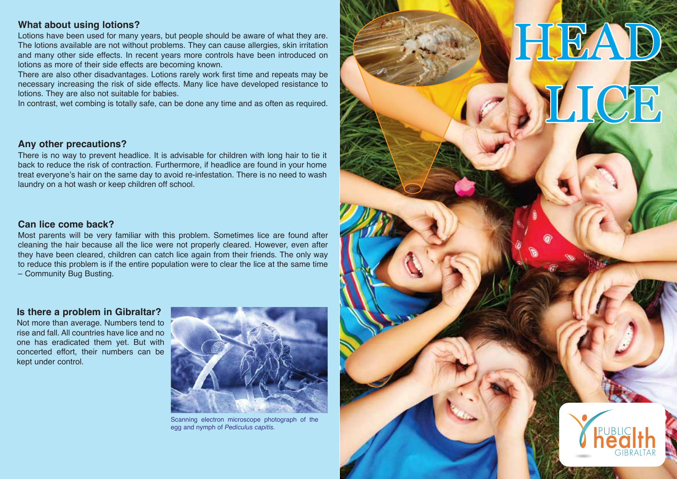## **What about using lotions?**

Lotions have been used for many years, but people should be aware of what they are. The lotions available are not without problems. They can cause allergies, skin irritation and many other side effects. In recent years more controls have been introduced on lotions as more of their side effects are becoming known.

There are also other disadvantages. Lotions rarely work first time and repeats may be necessary increasing the risk of side effects. Many lice have developed resistance to lotions. They are also not suitable for babies.

In contrast, wet combing is totally safe, can be done any time and as often as required.

#### **Any other precautions?**

There is no way to prevent headlice. It is advisable for children with long hair to tie it back to reduce the risk of contraction. Furthermore, if headlice are found in your home treat everyone's hair on the same day to avoid re-infestation. There is no need to wash laundry on a hot wash or keep children off school.

### **Can lice come back?**

Most parents will be very familiar with this problem. Sometimes lice are found after cleaning the hair because all the lice were not properly cleared. However, even after they have been cleared, children can catch lice again from their friends. The only way to reduce this problem is if the entire population were to clear the lice at the same time – Community Bug Busting.

#### **Is there a problem in Gibraltar?**

Not more than average. Numbers tend to rise and fall. All countries have lice and no one has eradicated them yet. But with concerted effort, their numbers can be kept under control.



Scanning electron microscope photograph of the egg and nymph of *Pediculus capitis.*